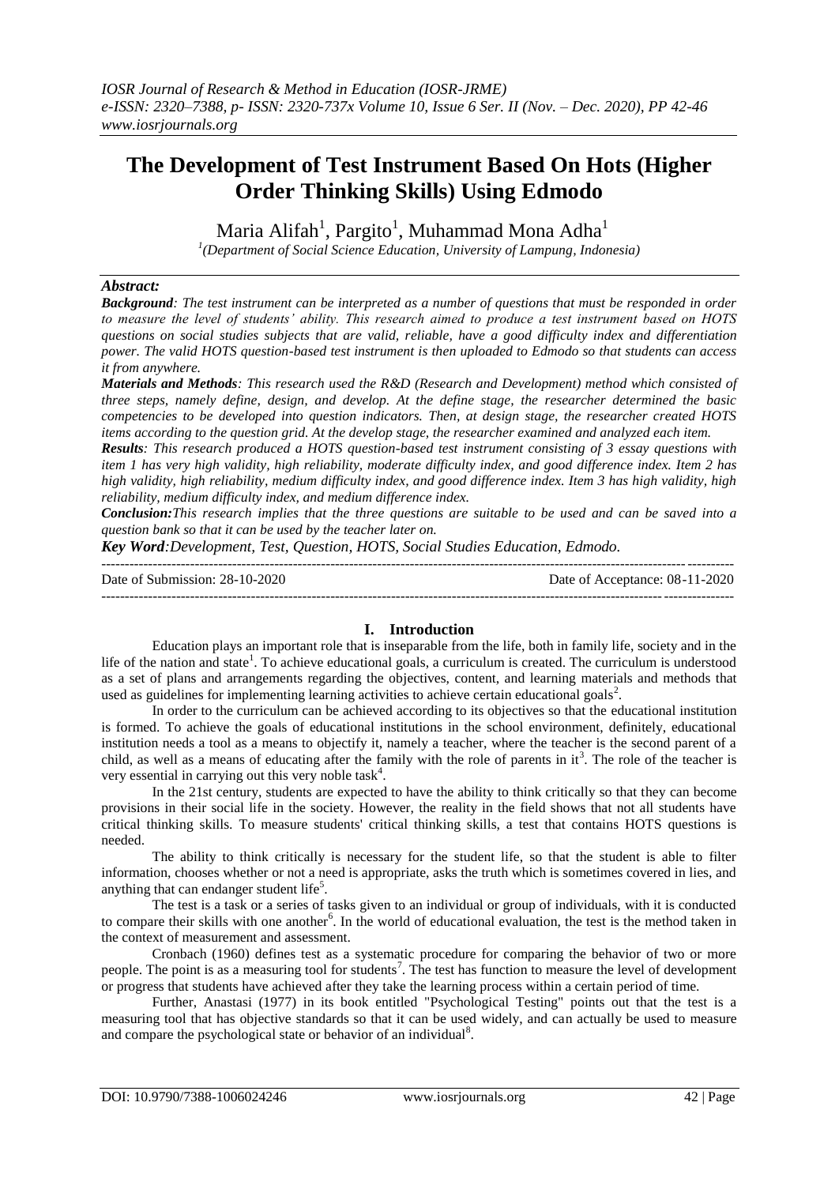# **The Development of Test Instrument Based On Hots (Higher Order Thinking Skills) Using Edmodo**

Maria Alifah<sup>1</sup>, Pargito<sup>1</sup>, Muhammad Mona Adha<sup>1</sup>

*1 (Department of Social Science Education, University of Lampung, Indonesia)*

## *Abstract:*

*Background: The test instrument can be interpreted as a number of questions that must be responded in order to measure the level of students' ability. This research aimed to produce a test instrument based on HOTS questions on social studies subjects that are valid, reliable, have a good difficulty index and differentiation power. The valid HOTS question-based test instrument is then uploaded to Edmodo so that students can access it from anywhere.*

*Materials and Methods: This research used the R&D (Research and Development) method which consisted of three steps, namely define, design, and develop. At the define stage, the researcher determined the basic competencies to be developed into question indicators. Then, at design stage, the researcher created HOTS items according to the question grid. At the develop stage, the researcher examined and analyzed each item.*

*Results: This research produced a HOTS question-based test instrument consisting of 3 essay questions with item 1 has very high validity, high reliability, moderate difficulty index, and good difference index. Item 2 has high validity, high reliability, medium difficulty index, and good difference index. Item 3 has high validity, high reliability, medium difficulty index, and medium difference index.*

*Conclusion:This research implies that the three questions are suitable to be used and can be saved into a question bank so that it can be used by the teacher later on.*

*Key Word:Development, Test, Question, HOTS, Social Studies Education, Edmodo.*

--------------------------------------------------------------------------------------------------------------------------------------- Date of Submission: 28-10-2020 Date of Acceptance: 08-11-2020 ---------------------------------------------------------------------------------------------------------------------------------------

# **I. Introduction**

Education plays an important role that is inseparable from the life, both in family life, society and in the life of the nation and state<sup>1</sup>. To achieve educational goals, a curriculum is created. The curriculum is understood as a set of plans and arrangements regarding the objectives, content, and learning materials and methods that used as guidelines for implementing learning activities to achieve certain educational goals<sup>2</sup>.

In order to the curriculum can be achieved according to its objectives so that the educational institution is formed. To achieve the goals of educational institutions in the school environment, definitely, educational institution needs a tool as a means to objectify it, namely a teacher, where the teacher is the second parent of a child, as well as a means of educating after the family with the role of parents in  $it<sup>3</sup>$ . The role of the teacher is very essential in carrying out this very noble task<sup>4</sup>.

In the 21st century, students are expected to have the ability to think critically so that they can become provisions in their social life in the society. However, the reality in the field shows that not all students have critical thinking skills. To measure students' critical thinking skills, a test that contains HOTS questions is needed.

The ability to think critically is necessary for the student life, so that the student is able to filter information, chooses whether or not a need is appropriate, asks the truth which is sometimes covered in lies, and anything that can endanger student life<sup>5</sup>.

The test is a task or a series of tasks given to an individual or group of individuals, with it is conducted to compare their skills with one another<sup>6</sup>. In the world of educational evaluation, the test is the method taken in the context of measurement and assessment.

Cronbach (1960) defines test as a systematic procedure for comparing the behavior of two or more people. The point is as a measuring tool for students<sup>7</sup>. The test has function to measure the level of development or progress that students have achieved after they take the learning process within a certain period of time.

Further, Anastasi (1977) in its book entitled "Psychological Testing" points out that the test is a measuring tool that has objective standards so that it can be used widely, and can actually be used to measure and compare the psychological state or behavior of an individual<sup>8</sup>.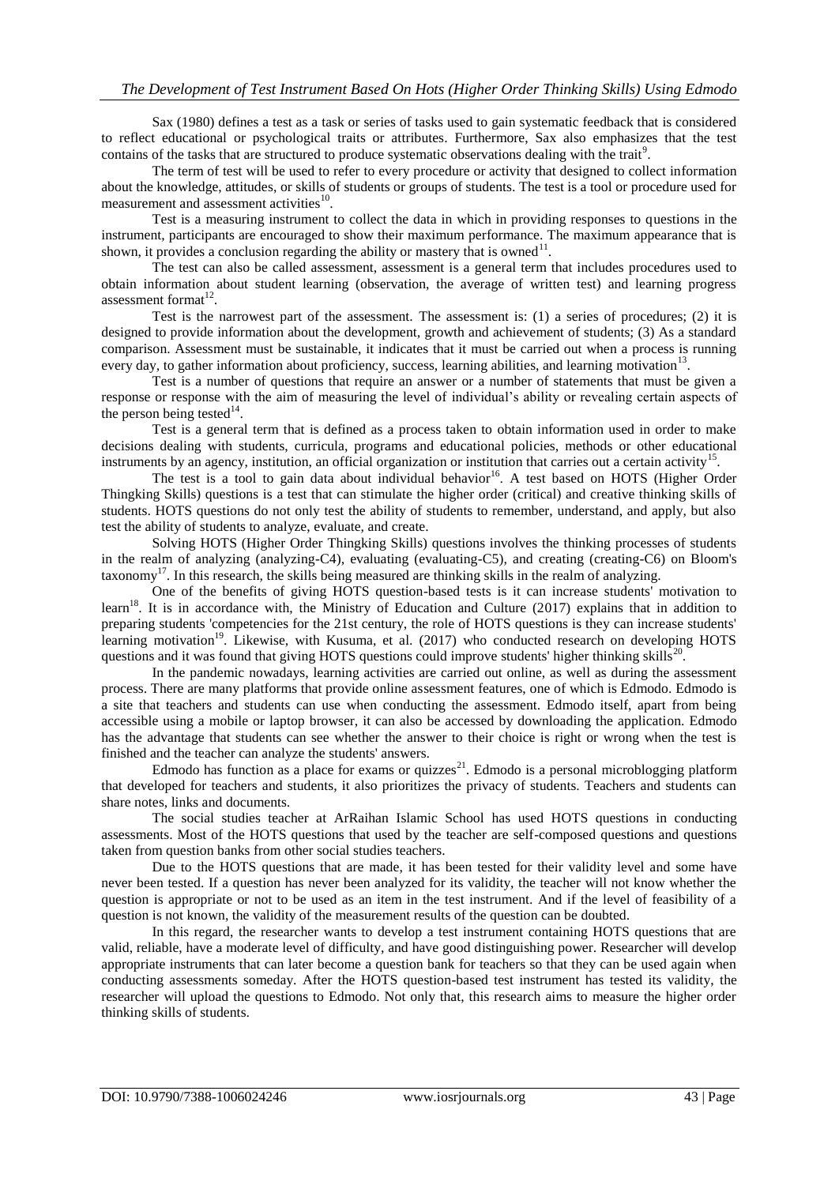Sax (1980) defines a test as a task or series of tasks used to gain systematic feedback that is considered to reflect educational or psychological traits or attributes. Furthermore, Sax also emphasizes that the test contains of the tasks that are structured to produce systematic observations dealing with the trait<sup>9</sup>.

The term of test will be used to refer to every procedure or activity that designed to collect information about the knowledge, attitudes, or skills of students or groups of students. The test is a tool or procedure used for measurement and assessment activities<sup>10</sup>.

Test is a measuring instrument to collect the data in which in providing responses to questions in the instrument, participants are encouraged to show their maximum performance. The maximum appearance that is shown, it provides a conclusion regarding the ability or mastery that is owned $11$ .

The test can also be called assessment, assessment is a general term that includes procedures used to obtain information about student learning (observation, the average of written test) and learning progress assessment format<sup>12</sup>.

Test is the narrowest part of the assessment. The assessment is: (1) a series of procedures; (2) it is designed to provide information about the development, growth and achievement of students; (3) As a standard comparison. Assessment must be sustainable, it indicates that it must be carried out when a process is running every day, to gather information about proficiency, success, learning abilities, and learning motivation<sup>13</sup>.

Test is a number of questions that require an answer or a number of statements that must be given a response or response with the aim of measuring the level of individual's ability or revealing certain aspects of the person being tested $^{14}$ .

Test is a general term that is defined as a process taken to obtain information used in order to make decisions dealing with students, curricula, programs and educational policies, methods or other educational instruments by an agency, institution, an official organization or institution that carries out a certain activity<sup>15</sup>.

The test is a tool to gain data about individual behavior<sup>16</sup>. A test based on HOTS (Higher Order Thingking Skills) questions is a test that can stimulate the higher order (critical) and creative thinking skills of students. HOTS questions do not only test the ability of students to remember, understand, and apply, but also test the ability of students to analyze, evaluate, and create.

Solving HOTS (Higher Order Thingking Skills) questions involves the thinking processes of students in the realm of analyzing (analyzing-C4), evaluating (evaluating-C5), and creating (creating-C6) on Bloom's  $\alpha$  taxonomy<sup>17</sup>. In this research, the skills being measured are thinking skills in the realm of analyzing.

One of the benefits of giving HOTS question-based tests is it can increase students' motivation to learn<sup>18</sup>. It is in accordance with, the Ministry of Education and Culture (2017) explains that in addition to preparing students 'competencies for the 21st century, the role of HOTS questions is they can increase students' learning motivation<sup>19</sup>. Likewise, with Kusuma, et al. (2017) who conducted research on developing HOTS questions and it was found that giving HOTS questions could improve students' higher thinking skills<sup>20</sup>.

In the pandemic nowadays, learning activities are carried out online, as well as during the assessment process. There are many platforms that provide online assessment features, one of which is Edmodo. Edmodo is a site that teachers and students can use when conducting the assessment. Edmodo itself, apart from being accessible using a mobile or laptop browser, it can also be accessed by downloading the application. Edmodo has the advantage that students can see whether the answer to their choice is right or wrong when the test is finished and the teacher can analyze the students' answers.

Edmodo has function as a place for exams or quizzes<sup>21</sup>. Edmodo is a personal microblogging platform that developed for teachers and students, it also prioritizes the privacy of students. Teachers and students can share notes, links and documents.

The social studies teacher at ArRaihan Islamic School has used HOTS questions in conducting assessments. Most of the HOTS questions that used by the teacher are self-composed questions and questions taken from question banks from other social studies teachers.

Due to the HOTS questions that are made, it has been tested for their validity level and some have never been tested. If a question has never been analyzed for its validity, the teacher will not know whether the question is appropriate or not to be used as an item in the test instrument. And if the level of feasibility of a question is not known, the validity of the measurement results of the question can be doubted.

In this regard, the researcher wants to develop a test instrument containing HOTS questions that are valid, reliable, have a moderate level of difficulty, and have good distinguishing power. Researcher will develop appropriate instruments that can later become a question bank for teachers so that they can be used again when conducting assessments someday. After the HOTS question-based test instrument has tested its validity, the researcher will upload the questions to Edmodo. Not only that, this research aims to measure the higher order thinking skills of students.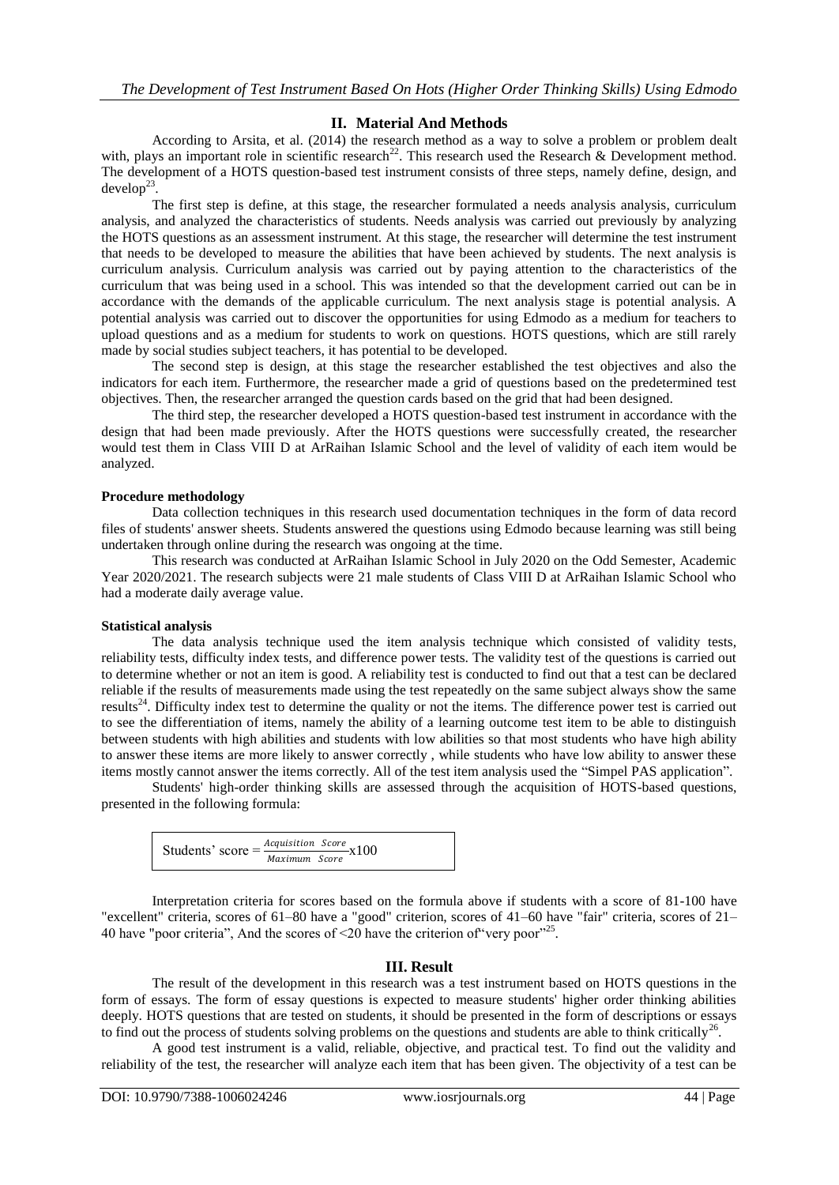# **II. Material And Methods**

According to Arsita, et al. (2014) the research method as a way to solve a problem or problem dealt with, plays an important role in scientific research<sup>22</sup>. This research used the Research & Development method. The development of a HOTS question-based test instrument consists of three steps, namely define, design, and  $d$ evelop<sup>23</sup> .

The first step is define, at this stage, the researcher formulated a needs analysis analysis, curriculum analysis, and analyzed the characteristics of students. Needs analysis was carried out previously by analyzing the HOTS questions as an assessment instrument. At this stage, the researcher will determine the test instrument that needs to be developed to measure the abilities that have been achieved by students. The next analysis is curriculum analysis. Curriculum analysis was carried out by paying attention to the characteristics of the curriculum that was being used in a school. This was intended so that the development carried out can be in accordance with the demands of the applicable curriculum. The next analysis stage is potential analysis. A potential analysis was carried out to discover the opportunities for using Edmodo as a medium for teachers to upload questions and as a medium for students to work on questions. HOTS questions, which are still rarely made by social studies subject teachers, it has potential to be developed.

The second step is design, at this stage the researcher established the test objectives and also the indicators for each item. Furthermore, the researcher made a grid of questions based on the predetermined test objectives. Then, the researcher arranged the question cards based on the grid that had been designed.

The third step, the researcher developed a HOTS question-based test instrument in accordance with the design that had been made previously. After the HOTS questions were successfully created, the researcher would test them in Class VIII D at ArRaihan Islamic School and the level of validity of each item would be analyzed.

### **Procedure methodology**

Data collection techniques in this research used documentation techniques in the form of data record files of students' answer sheets. Students answered the questions using Edmodo because learning was still being undertaken through online during the research was ongoing at the time.

This research was conducted at ArRaihan Islamic School in July 2020 on the Odd Semester, Academic Year 2020/2021. The research subjects were 21 male students of Class VIII D at ArRaihan Islamic School who had a moderate daily average value.

## **Statistical analysis**

The data analysis technique used the item analysis technique which consisted of validity tests, reliability tests, difficulty index tests, and difference power tests. The validity test of the questions is carried out to determine whether or not an item is good. A reliability test is conducted to find out that a test can be declared reliable if the results of measurements made using the test repeatedly on the same subject always show the same results<sup>24</sup>. Difficulty index test to determine the quality or not the items. The difference power test is carried out to see the differentiation of items, namely the ability of a learning outcome test item to be able to distinguish between students with high abilities and students with low abilities so that most students who have high ability to answer these items are more likely to answer correctly , while students who have low ability to answer these items mostly cannot answer the items correctly. All of the test item analysis used the "Simpel PAS application".

Students' high-order thinking skills are assessed through the acquisition of HOTS-based questions, presented in the following formula:

| Students' score = $\frac{Acquisition~Score}{X} \times 100$ |  |               |  |  |
|------------------------------------------------------------|--|---------------|--|--|
|                                                            |  | Maximum Score |  |  |

Interpretation criteria for scores based on the formula above if students with a score of 81-100 have "excellent" criteria, scores of 61–80 have a "good" criterion, scores of 41–60 have "fair" criteria, scores of 21– 40 have "poor criteria", And the scores of  $\leq 20$  have the criterion of very poor"<sup>25</sup>.

#### **III. Result**

The result of the development in this research was a test instrument based on HOTS questions in the form of essays. The form of essay questions is expected to measure students' higher order thinking abilities deeply. HOTS questions that are tested on students, it should be presented in the form of descriptions or essays to find out the process of students solving problems on the questions and students are able to think critically<sup>26</sup> .

A good test instrument is a valid, reliable, objective, and practical test. To find out the validity and reliability of the test, the researcher will analyze each item that has been given. The objectivity of a test can be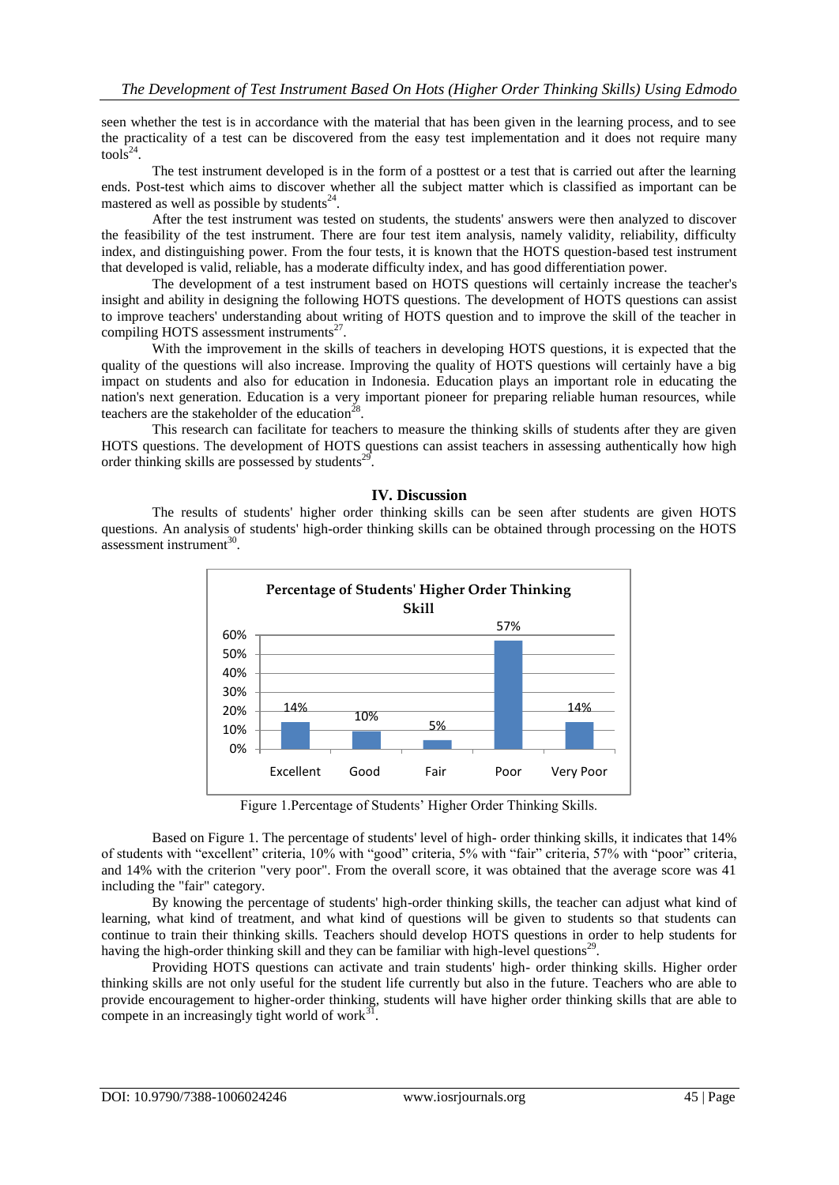seen whether the test is in accordance with the material that has been given in the learning process, and to see the practicality of a test can be discovered from the easy test implementation and it does not require many  $\text{tools}^{24}$ .

The test instrument developed is in the form of a posttest or a test that is carried out after the learning ends. Post-test which aims to discover whether all the subject matter which is classified as important can be mastered as well as possible by students $24$ .

After the test instrument was tested on students, the students' answers were then analyzed to discover the feasibility of the test instrument. There are four test item analysis, namely validity, reliability, difficulty index, and distinguishing power. From the four tests, it is known that the HOTS question-based test instrument that developed is valid, reliable, has a moderate difficulty index, and has good differentiation power.

The development of a test instrument based on HOTS questions will certainly increase the teacher's insight and ability in designing the following HOTS questions. The development of HOTS questions can assist to improve teachers' understanding about writing of HOTS question and to improve the skill of the teacher in compiling HOTS assessment instruments<sup>27</sup>.

With the improvement in the skills of teachers in developing HOTS questions, it is expected that the quality of the questions will also increase. Improving the quality of HOTS questions will certainly have a big impact on students and also for education in Indonesia. Education plays an important role in educating the nation's next generation. Education is a very important pioneer for preparing reliable human resources, while teachers are the stakeholder of the education<sup>28</sup>.

This research can facilitate for teachers to measure the thinking skills of students after they are given HOTS questions. The development of HOTS questions can assist teachers in assessing authentically how high order thinking skills are possessed by students<sup>29</sup>.

## **IV. Discussion**

The results of students' higher order thinking skills can be seen after students are given HOTS questions. An analysis of students' high-order thinking skills can be obtained through processing on the HOTS  $assessment$  instrument<sup>30</sup>.



Figure 1.Percentage of Students' Higher Order Thinking Skills.

Based on Figure 1. The percentage of students' level of high- order thinking skills, it indicates that 14% of students with "excellent" criteria, 10% with "good" criteria, 5% with "fair" criteria, 57% with "poor" criteria, and 14% with the criterion "very poor". From the overall score, it was obtained that the average score was 41 including the "fair" category.

By knowing the percentage of students' high-order thinking skills, the teacher can adjust what kind of learning, what kind of treatment, and what kind of questions will be given to students so that students can continue to train their thinking skills. Teachers should develop HOTS questions in order to help students for having the high-order thinking skill and they can be familiar with high-level questions<sup>29</sup>.

Providing HOTS questions can activate and train students' high- order thinking skills. Higher order thinking skills are not only useful for the student life currently but also in the future. Teachers who are able to provide encouragement to higher-order thinking, students will have higher order thinking skills that are able to compete in an increasingly tight world of work $31$ .